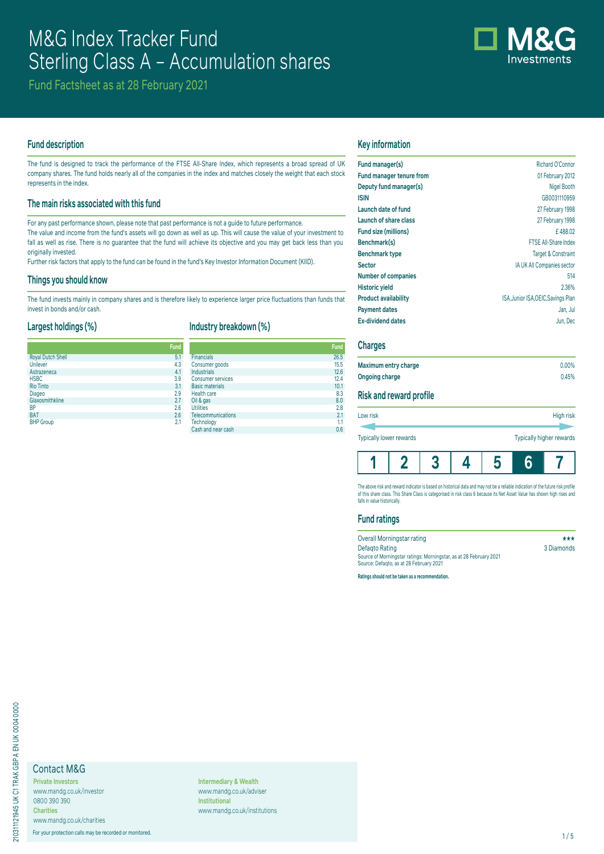

Fund Factsheet as at 28 February 2021

## **Fund description**

The fund is designed to track the performance of the FTSE All-Share Index, which represents a broad spread of UK company shares. The fund holds nearly all of the companies in the index and matches closely the weight that each stock represents in the index.

## **The main risks associated with this fund**

For any past performance shown, please note that past performance is not a guide to future performance.

The value and income from the fund's assets will go down as well as up. This will cause the value of your investment to fall as well as rise. There is no quarantee that the fund will achieve its objective and you may get back less than you originally invested.

Further risk factors that apply to the fund can be found in the fund's Key Investor Information Document (KIID).

## **Things you should know**

The fund invests mainly in company shares and is therefore likely to experience larger price fluctuations than funds that invest in bonds and/or cash.

## **Largest holdings (%)**

# **Industry breakdown (%)**

|                          | <b>Fund</b> |                          | Fund |
|--------------------------|-------------|--------------------------|------|
| <b>Royal Dutch Shell</b> | 5.1         | <b>Financials</b>        | 26.5 |
| Unilever                 | 4.3         | Consumer goods           | 15.5 |
| Astrazeneca              | 4.1         | <b>Industrials</b>       | 12.6 |
| <b>HSBC</b>              | 3.9         | <b>Consumer services</b> | 12.4 |
| <b>Rio Tinto</b>         | 3.1         | <b>Basic materials</b>   | 10.1 |
| Diageo                   | 2.9         | Health care              | 8.3  |
| Glaxosmithkline          | 2.7         | Oil & gas                | 8.0  |
| <b>BP</b>                | 2.6         | <b>Utilities</b>         | 2.8  |
| <b>BAT</b>               | 2.6         | Telecommunications       | 2.1  |
| <b>BHP</b> Group         | 2.1         | Technology               | 1.1  |
|                          |             | Cash and near cash       | 0.6  |

# **Key information**

| Fund manager(s)                 | Richard O'Connor                    |
|---------------------------------|-------------------------------------|
| <b>Fund manager tenure from</b> | 01 February 2012                    |
| Deputy fund manager(s)          | Nigel Booth                         |
| <b>ISIN</b>                     | GB0031110959                        |
| Launch date of fund             | 27 February 1998                    |
| Launch of share class           | 27 February 1998                    |
| Fund size (millions)            | £488.02                             |
| Benchmark(s)                    | <b>FTSE All-Share Index</b>         |
| <b>Benchmark type</b>           | <b>Target &amp; Constraint</b>      |
| <b>Sector</b>                   | IA UK All Companies sector          |
| <b>Number of companies</b>      | 514                                 |
| <b>Historic yield</b>           | 2.36%                               |
| <b>Product availability</b>     | ISA, Junior ISA, OEIC, Savings Plan |
| <b>Payment dates</b>            | Jan, Jul                            |
| <b>Ex-dividend dates</b>        | Jun, Dec                            |

## **Charges**

| Maximum entry charge  | $0.00\%$ |
|-----------------------|----------|
| <b>Ongoing charge</b> | 0.45%    |

# **Risk and reward profile**

| Typically lower rewards | Typically higher rewards |           |  |  |  |  |
|-------------------------|--------------------------|-----------|--|--|--|--|
|                         |                          |           |  |  |  |  |
| Low risk                |                          | High risk |  |  |  |  |

**1 2 3 4 5 6 7**

The above risk and reward indicator is based on nistorical data and may not be a reliable indication of the future risk profile<br>of this share class. This Share Class is categorised in risk class 6 because its Net Asset Val falls in value historically.

## **Fund ratings**

| Overall Morningstar rating                                         | ***        |
|--------------------------------------------------------------------|------------|
| Defagto Rating                                                     | 3 Diamonds |
| Source of Morningstar ratings: Morningstar, as at 28 February 2021 |            |
| Source: Defagto, as at 28 February 2021                            |            |
|                                                                    |            |

**Ratings should not be taken as a recommendation.**

# Contact M&G

**Private Investors** www.mandg.co.uk/investor 0800 390 390 **Charities** www.mandg.co.uk/charities

For your protection calls may be recorded or monitored. 1/5

**Intermediary & Wealth** www.mandg.co.uk/adviser **Institutional** www.mandg.co.uk/institutions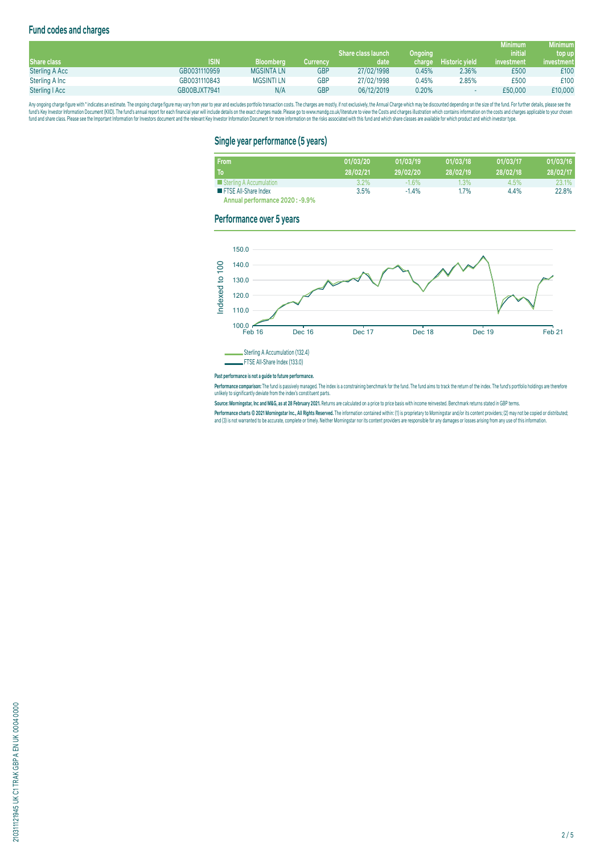# **Fund codes and charges**

|                       |              |                   |                 |                           |         |                       | <b>Minimum</b> | <b>Minimum</b> |
|-----------------------|--------------|-------------------|-----------------|---------------------------|---------|-----------------------|----------------|----------------|
|                       |              |                   |                 | <b>Share class launch</b> | Ongoing |                       | <i>initial</i> | top up         |
| <b>Share class</b>    | <b>ISIN</b>  | <b>Bloomberg</b>  | <b>Currency</b> | date                      | charge  | <b>Historic vield</b> | investment     | investment     |
| <b>Sterling A Acc</b> | GB0031110959 | <b>MGSINTA LN</b> | <b>GBP</b>      | 27/02/1998                | 0.45%   | 2.36%                 | £500           | £100           |
| Sterling A Inc        | GB0031110843 | <b>MGSINTILN</b>  | <b>GBP</b>      | 27/02/1998                | 0.45%   | 2.85%                 | £500           | £100           |
| Sterling   Acc        | GB00BJXT7941 | N/A               | <b>GBP</b>      | 06/12/2019                | 0.20%   |                       | £50,000        | £10,000        |

Any ongoing charge rigure with "inducates an estimate. The ongoing charge may vary from year to year and excludes portroill transaction costs. The charges are mostly, if not exclusively, the Annual Charge and Charges are o

# **Single year performance (5 years)**

| <b>From</b>                     | 01/03/20 | 01/03/19 | 01/03/18 | 01/03/17 | 01/03/16 |
|---------------------------------|----------|----------|----------|----------|----------|
| To                              | 28/02/21 | 29/02/20 | 28/02/19 | 28/02/18 | 28/02/17 |
| Sterling A Accumulation         | $3.2\%$  | $-1.6%$  | $1.3\%$  | 4.5%     | 23.1%    |
| <b>FTSE All-Share Index</b>     | 3.5%     | $-1.4%$  | 1.7%     | 4.4%     | 22.8%    |
| Annual performance 2020 : -9.9% |          |          |          |          |          |

**Performance over 5 years**



#### **Past performance is not a guide to future performance.**

**Performance comparison:** The fund is passively managed. The index is a constraining benchmark for the fund . The fund aims to track the return of the index. The fund's portfolio holdings are therefore<br>unlikely to signific

**Source: Morningstar, Inc and M&G, as at 28 February 2021.** Returns are calculated on a price to price basis with income reinvested. Benchmark returns stated in GBP terms.

**Performance charts © 2021 Morningstar Inc., All Rights Reserved.** The information contained within: (1) is proprietary to Morningstar and/or its content providers; (2) may not be copied or distributed; and (3) is not warranted to be accurate, complete or timely. Neither Morningstar nor its content providers are responsible for any damages or losses arising from any use of this information.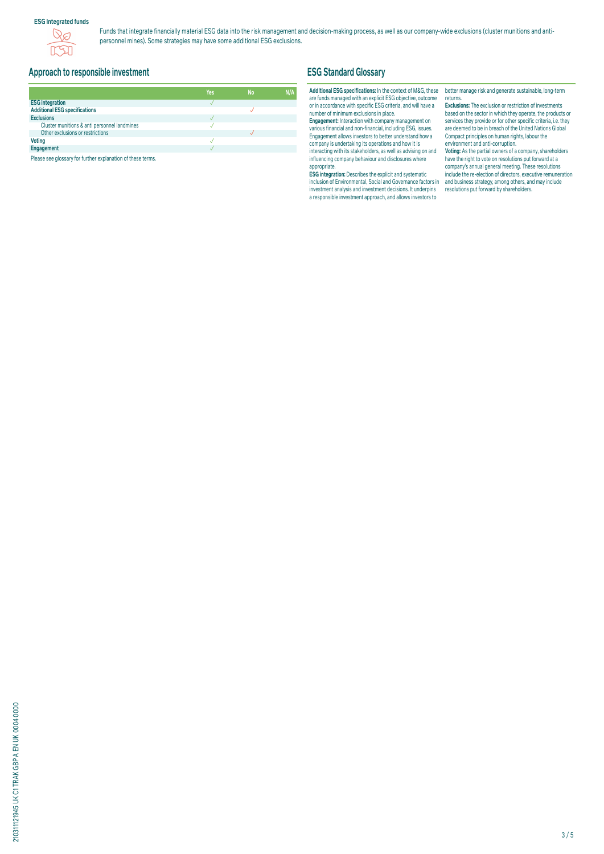## **ESG Integrated funds**



Funds that integrate financially material ESG data into the risk management and decision-making process, as well as our company-wide exclusions (cluster munitions and antipersonnel mines). Some strategies may have some additional ESG exclusions.

# **Approach to responsible investment**

|                                              | Yes | <b>No</b> | N/A |
|----------------------------------------------|-----|-----------|-----|
| <b>ESG integration</b>                       |     |           |     |
| <b>Additional ESG specifications</b>         |     |           |     |
| <b>Exclusions</b>                            |     |           |     |
| Cluster munitions & anti personnel landmines |     |           |     |
| Other exclusions or restrictions             |     |           |     |
| <b>Voting</b>                                |     |           |     |
| Engagement                                   |     |           |     |

Please see glossary for further explanation of these terms.

# **ESG Standard Glossary**

#### **Additional ESG specifications:** In the context of M&G, these are funds managed with an explicit ESG objective, outcome or in accordance with specific ESG criteria, and will have a number of minimum exclusions in place.

**Engagement:** Interaction with company management on various financial and non-financial, including ESG, issues. Engagement allows investors to better understand how a company is undertaking its operations and how it is interacting with its stakeholders, as well as advising on and influencing company behaviour and disclosures where appropriate.

**ESG integration:** Describes the explicit and systematic inclusion of Environmental, Social and Governance factors in investment analysis and investment decisions. It underpins a responsible investment approach, and allows investors to

better manage risk and generate sustainable, long-term returns.

**Exclusions:** The exclusion or restriction of investments based on the sector in which they operate, the products or services they provide or for other specific criteria, i.e. they are deemed to be in breach of the United Nations Global Compact principles on human rights, labour the environment and anti-corruption.

**Voting:** As the partial owners of a company, shareholders have the right to vote on resolutions put forward at a company's annual general meeting. These resolutions include the re-election of directors, executive remuneration and business strategy, among others, and may include resolutions put forward by shareholders.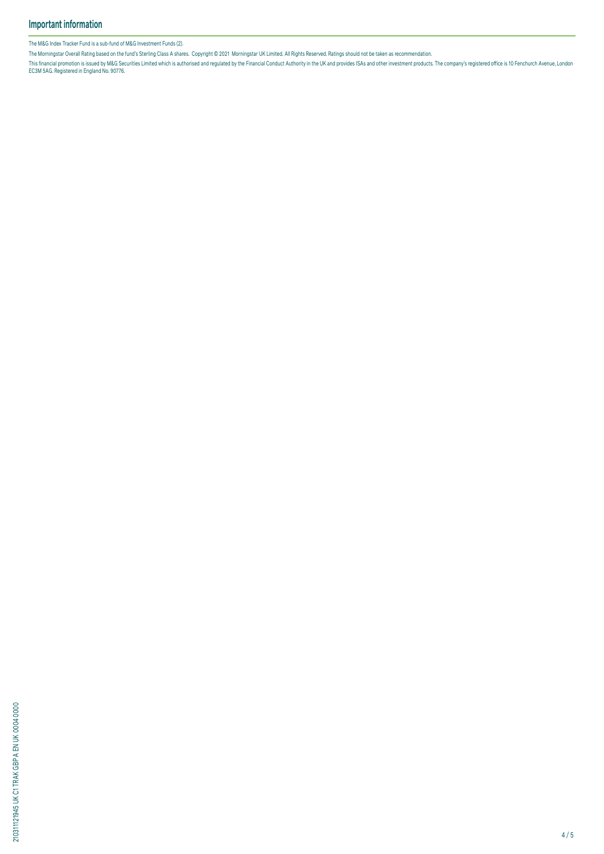The M&G Index Tracker Fund is a sub-fund of M&G Investment Funds (2).

The Morningstar Overall Rating based on the fund's Sterling Class A shares. Copyright © 2021 Morningstar UK Limited. All Rights Reserved. Ratings should not be taken as recommendation.

This financial promotion is issued by M&G Securities Limited which is authorised and regulated by the Financial Conduct Authority in the UK and provides ISAS and other investment products. The company's registered office i